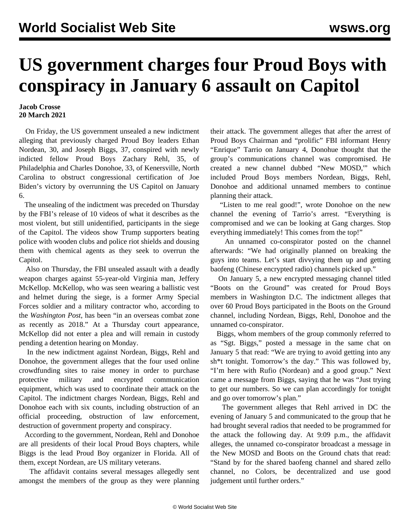## **US government charges four Proud Boys with conspiracy in January 6 assault on Capitol**

## **Jacob Crosse 20 March 2021**

 On Friday, the US government unsealed a new indictment alleging that previously charged Proud Boy leaders Ethan Nordean, 30, and Joseph Biggs, 37, conspired with newly indicted fellow Proud Boys Zachary Rehl, 35, of Philadelphia and Charles Donohoe, 33, of Kenersville, North Carolina to obstruct congressional certification of Joe Biden's victory by overrunning the US Capitol on January 6.

 The unsealing of the indictment was preceded on Thursday by the FBI's release of 10 videos of what it describes as the most violent, but still unidentified, participants in the siege of the Capitol. The videos show Trump supporters beating police with wooden clubs and police riot shields and dousing them with chemical agents as they seek to overrun the Capitol.

 Also on Thursday, the FBI unsealed assault with a deadly weapon charges against 55-year-old Virginia man, Jeffery McKellop. McKellop, who was seen wearing a ballistic vest and helmet during the siege, is a former Army Special Forces soldier and a military contractor who, according to the *Washington Post*, has been "in an overseas combat zone as recently as 2018." At a Thursday court appearance, McKellop did not enter a plea and will remain in custody pending a detention hearing on Monday.

 In the new indictment against Nordean, Biggs, Rehl and Donohoe, the government alleges that the four used online crowdfunding sites to raise money in order to purchase protective military and encrypted communication equipment, which was used to coordinate their attack on the Capitol. The indictment charges Nordean, Biggs, Rehl and Donohoe each with six counts, including obstruction of an official proceeding, obstruction of law enforcement, destruction of government property and conspiracy.

 According to the government, Nordean, Rehl and Donohoe are all presidents of their local Proud Boys chapters, while Biggs is the lead Proud Boy organizer in Florida. All of them, except Nordean, are US military veterans.

 The affidavit contains several messages allegedly sent amongst the members of the group as they were planning their attack. The government alleges that after the arrest of Proud Boys Chairman and ["prolific"](/en/articles/2021/01/28/tarr-j28.html) FBI informant Henry "Enrique" Tarrio on January 4, Donohue thought that the group's communications channel was compromised. He created a new channel dubbed "New MOSD,'" which included Proud Boys members Nordean, Biggs, Rehl, Donohoe and additional unnamed members to continue planning their attack.

 "Listen to me real good!", wrote Donohoe on the new channel the evening of Tarrio's arrest. "Everything is compromised and we can be looking at Gang charges. Stop everything immediately! This comes from the top!"

 An unnamed co-conspirator posted on the channel afterwards: "We had originally planned on breaking the guys into teams. Let's start divvying them up and getting baofeng (Chinese encrypted radio) channels picked up."

 On January 5, a new encrypted messaging channel titled "Boots on the Ground" was created for Proud Boys members in Washington D.C. The indictment alleges that over 60 Proud Boys participated in the Boots on the Ground channel, including Nordean, Biggs, Rehl, Donohoe and the unnamed co-conspirator.

 Biggs, whom members of the group commonly referred to as "Sgt. Biggs," posted a message in the same chat on January 5 that read: "We are trying to avoid getting into any sh\*t tonight. Tomorrow's the day." This was followed by, "I'm here with Rufio (Nordean) and a good group." Next came a message from Biggs, saying that he was "Just trying to get our numbers. So we can plan accordingly for tonight and go over tomorrow's plan."

 The government alleges that Rehl arrived in DC the evening of January 5 and communicated to the group that he had brought several radios that needed to be programmed for the attack the following day. At 9:09 p.m., the affidavit alleges, the unnamed co-conspirator broadcast a message in the New MOSD and Boots on the Ground chats that read: "Stand by for the shared baofeng channel and shared zello channel, no Colors, be decentralized and use good judgement until further orders."